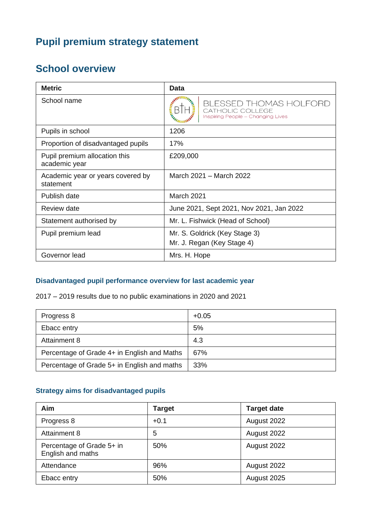# **Pupil premium strategy statement**

# **School overview**

| <b>Metric</b>                                  | Data                                                                                   |  |
|------------------------------------------------|----------------------------------------------------------------------------------------|--|
| School name                                    | <b>BLESSED THOMAS HOLFORD</b><br>CATHOLIC COLLEGE<br>Inspiring People - Changing Lives |  |
| Pupils in school                               | 1206                                                                                   |  |
| Proportion of disadvantaged pupils             | 17%                                                                                    |  |
| Pupil premium allocation this<br>academic year | £209,000                                                                               |  |
| Academic year or years covered by<br>statement | March 2021 – March 2022                                                                |  |
| Publish date                                   | <b>March 2021</b>                                                                      |  |
| Review date                                    | June 2021, Sept 2021, Nov 2021, Jan 2022                                               |  |
| Statement authorised by                        | Mr. L. Fishwick (Head of School)                                                       |  |
| Pupil premium lead                             | Mr. S. Goldrick (Key Stage 3)                                                          |  |
|                                                | Mr. J. Regan (Key Stage 4)                                                             |  |
| Governor lead                                  | Mrs. H. Hope                                                                           |  |

#### **Disadvantaged pupil performance overview for last academic year**

2017 – 2019 results due to no public examinations in 2020 and 2021

| Progress 8                                  | $+0.05$ |
|---------------------------------------------|---------|
| Ebacc entry                                 | 5%      |
| Attainment 8                                | 4.3     |
| Percentage of Grade 4+ in English and Maths | 67%     |
| Percentage of Grade 5+ in English and maths | 33%     |

## **Strategy aims for disadvantaged pupils**

| Aim                                            | <b>Target</b> | <b>Target date</b> |
|------------------------------------------------|---------------|--------------------|
| Progress 8                                     | $+0.1$        | August 2022        |
| Attainment 8                                   | 5             | August 2022        |
| Percentage of Grade 5+ in<br>English and maths | 50%           | August 2022        |
| Attendance                                     | 96%           | August 2022        |
| Ebacc entry                                    | 50%           | August 2025        |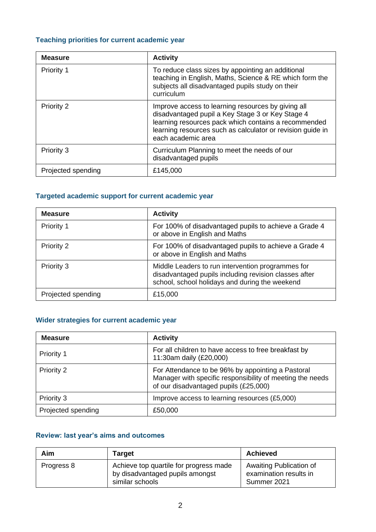# **Teaching priorities for current academic year**

| <b>Measure</b>     | <b>Activity</b>                                                                                                                                                                                                                                    |
|--------------------|----------------------------------------------------------------------------------------------------------------------------------------------------------------------------------------------------------------------------------------------------|
| Priority 1         | To reduce class sizes by appointing an additional<br>teaching in English, Maths, Science & RE which form the<br>subjects all disadvantaged pupils study on their<br>curriculum                                                                     |
| Priority 2         | Improve access to learning resources by giving all<br>disadvantaged pupil a Key Stage 3 or Key Stage 4<br>learning resources pack which contains a recommended<br>learning resources such as calculator or revision guide in<br>each academic area |
| Priority 3         | Curriculum Planning to meet the needs of our<br>disadvantaged pupils                                                                                                                                                                               |
| Projected spending | £145,000                                                                                                                                                                                                                                           |

### **Targeted academic support for current academic year**

| <b>Measure</b>     | <b>Activity</b>                                                                                                                                              |
|--------------------|--------------------------------------------------------------------------------------------------------------------------------------------------------------|
| Priority 1         | For 100% of disadvantaged pupils to achieve a Grade 4<br>or above in English and Maths                                                                       |
| Priority 2         | For 100% of disadvantaged pupils to achieve a Grade 4<br>or above in English and Maths                                                                       |
| Priority 3         | Middle Leaders to run intervention programmes for<br>disadvantaged pupils including revision classes after<br>school, school holidays and during the weekend |
| Projected spending | £15,000                                                                                                                                                      |

## **Wider strategies for current academic year**

| <b>Measure</b>     | <b>Activity</b>                                                                                                                                         |
|--------------------|---------------------------------------------------------------------------------------------------------------------------------------------------------|
| <b>Priority 1</b>  | For all children to have access to free breakfast by<br>11:30am daily (£20,000)                                                                         |
| Priority 2         | For Attendance to be 96% by appointing a Pastoral<br>Manager with specific responsibility of meeting the needs<br>of our disadvantaged pupils (£25,000) |
| Priority 3         | Improve access to learning resources (£5,000)                                                                                                           |
| Projected spending | £50,000                                                                                                                                                 |

### **Review: last year's aims and outcomes**

| Aim        | <b>Target</b>                                                                                | <b>Achieved</b>                                                  |
|------------|----------------------------------------------------------------------------------------------|------------------------------------------------------------------|
| Progress 8 | Achieve top quartile for progress made<br>by disadvantaged pupils amongst<br>similar schools | Awaiting Publication of<br>examination results in<br>Summer 2021 |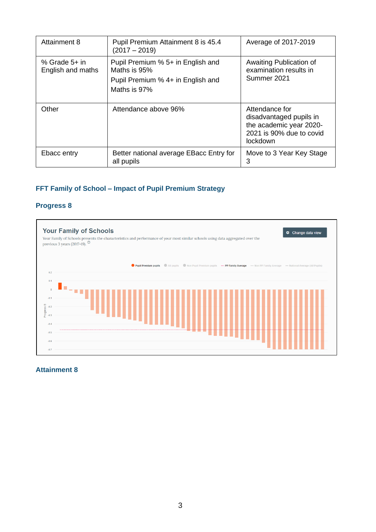| <b>Attainment 8</b>                  | Pupil Premium Attainment 8 is 45.4<br>$(2017 - 2019)$                                                  | Average of 2017-2019                                                                                         |
|--------------------------------------|--------------------------------------------------------------------------------------------------------|--------------------------------------------------------------------------------------------------------------|
| % Grade $5+$ in<br>English and maths | Pupil Premium % 5+ in English and<br>Maths is 95%<br>Pupil Premium % 4+ in English and<br>Maths is 97% | Awaiting Publication of<br>examination results in<br>Summer 2021                                             |
| Other                                | Attendance above 96%                                                                                   | Attendance for<br>disadvantaged pupils in<br>the academic year 2020-<br>2021 is 90% due to covid<br>lockdown |
| Ebacc entry                          | Better national average EBacc Entry for<br>all pupils                                                  | Move to 3 Year Key Stage<br>3                                                                                |

## **FFT Family of School – Impact of Pupil Premium Strategy**

#### **Progress 8**



#### **Attainment 8**